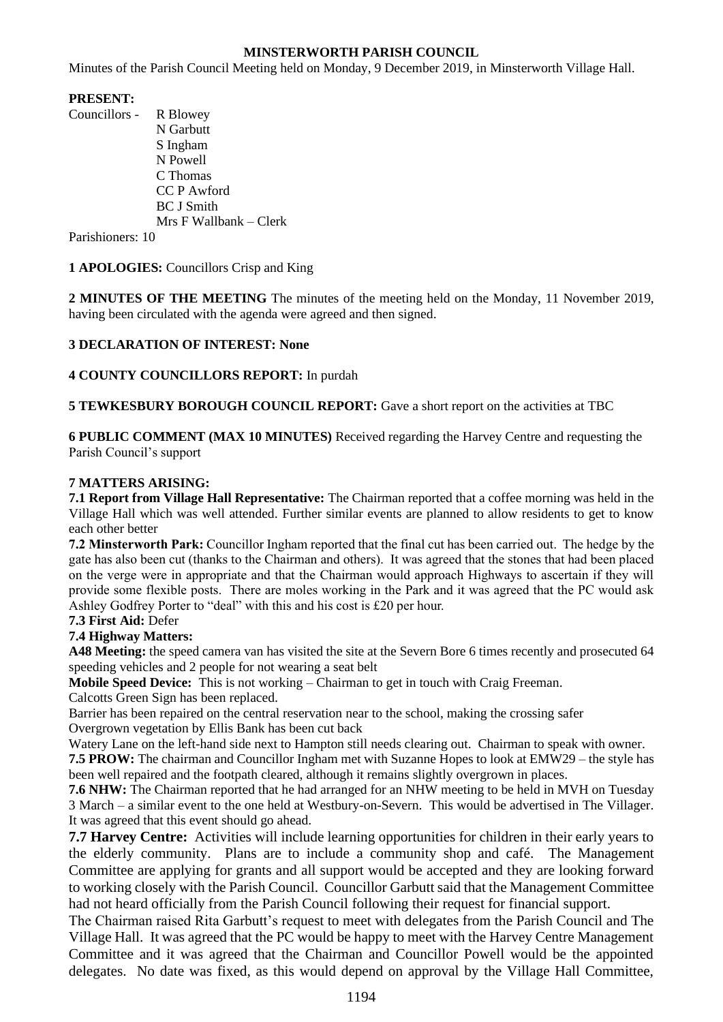## **MINSTERWORTH PARISH COUNCIL**

Minutes of the Parish Council Meeting held on Monday, 9 December 2019, in Minsterworth Village Hall.

## **PRESENT:**

Councillors - R Blowey N Garbutt S Ingham N Powell C Thomas CC P Awford BC J Smith Mrs F Wallbank – Clerk

Parishioners: 10

**1 APOLOGIES:** Councillors Crisp and King

**2 MINUTES OF THE MEETING** The minutes of the meeting held on the Monday, 11 November 2019, having been circulated with the agenda were agreed and then signed.

## **3 DECLARATION OF INTEREST: None**

**4 COUNTY COUNCILLORS REPORT:** In purdah

**5 TEWKESBURY BOROUGH COUNCIL REPORT:** Gave a short report on the activities at TBC

**6 PUBLIC COMMENT (MAX 10 MINUTES)** Received regarding the Harvey Centre and requesting the Parish Council's support

## **7 MATTERS ARISING:**

**7.1 Report from Village Hall Representative:** The Chairman reported that a coffee morning was held in the Village Hall which was well attended. Further similar events are planned to allow residents to get to know each other better

**7.2 Minsterworth Park:** Councillor Ingham reported that the final cut has been carried out. The hedge by the gate has also been cut (thanks to the Chairman and others). It was agreed that the stones that had been placed on the verge were in appropriate and that the Chairman would approach Highways to ascertain if they will provide some flexible posts. There are moles working in the Park and it was agreed that the PC would ask Ashley Godfrey Porter to "deal" with this and his cost is £20 per hour.

### **7.3 First Aid:** Defer

### **7.4 Highway Matters:**

**A48 Meeting:** the speed camera van has visited the site at the Severn Bore 6 times recently and prosecuted 64 speeding vehicles and 2 people for not wearing a seat belt

**Mobile Speed Device:** This is not working – Chairman to get in touch with Craig Freeman.

Calcotts Green Sign has been replaced.

Barrier has been repaired on the central reservation near to the school, making the crossing safer Overgrown vegetation by Ellis Bank has been cut back

Watery Lane on the left-hand side next to Hampton still needs clearing out. Chairman to speak with owner.

**7.5 PROW:** The chairman and Councillor Ingham met with Suzanne Hopes to look at EMW29 – the style has been well repaired and the footpath cleared, although it remains slightly overgrown in places.

**7.6 NHW:** The Chairman reported that he had arranged for an NHW meeting to be held in MVH on Tuesday 3 March – a similar event to the one held at Westbury-on-Severn. This would be advertised in The Villager. It was agreed that this event should go ahead.

**7.7 Harvey Centre:** Activities will include learning opportunities for children in their early years to the elderly community. Plans are to include a community shop and café. The Management Committee are applying for grants and all support would be accepted and they are looking forward to working closely with the Parish Council. Councillor Garbutt said that the Management Committee had not heard officially from the Parish Council following their request for financial support.

The Chairman raised Rita Garbutt's request to meet with delegates from the Parish Council and The Village Hall. It was agreed that the PC would be happy to meet with the Harvey Centre Management Committee and it was agreed that the Chairman and Councillor Powell would be the appointed delegates. No date was fixed, as this would depend on approval by the Village Hall Committee,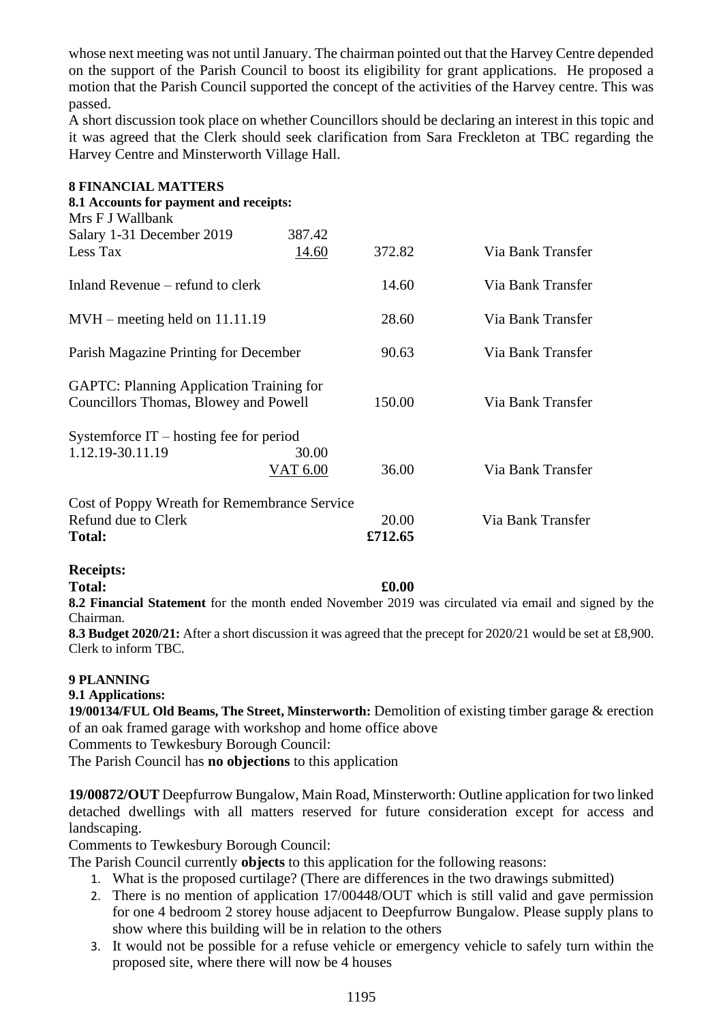whose next meeting was not until January. The chairman pointed out that the Harvey Centre depended on the support of the Parish Council to boost its eligibility for grant applications. He proposed a motion that the Parish Council supported the concept of the activities of the Harvey centre. This was passed.

A short discussion took place on whether Councillors should be declaring an interest in this topic and it was agreed that the Clerk should seek clarification from Sara Freckleton at TBC regarding the Harvey Centre and Minsterworth Village Hall.

| <b>8 FINANCIAL MATTERS</b><br>8.1 Accounts for payment and receipts: |                 |         |                   |
|----------------------------------------------------------------------|-----------------|---------|-------------------|
| Mrs F J Wallbank                                                     |                 |         |                   |
| Salary 1-31 December 2019                                            | 387.42          |         |                   |
| Less Tax                                                             | 14.60           | 372.82  | Via Bank Transfer |
| Inland Revenue – refund to clerk                                     |                 | 14.60   | Via Bank Transfer |
| $MVH$ – meeting held on 11.11.19                                     |                 | 28.60   | Via Bank Transfer |
| Parish Magazine Printing for December                                |                 | 90.63   | Via Bank Transfer |
| <b>GAPTC: Planning Application Training for</b>                      |                 |         |                   |
| Councillors Thomas, Blowey and Powell                                |                 | 150.00  | Via Bank Transfer |
| Systemforce IT – hosting fee for period                              |                 |         |                   |
| 1.12.19-30.11.19                                                     | 30.00           |         |                   |
|                                                                      | <b>VAT 6.00</b> | 36.00   | Via Bank Transfer |
| Cost of Poppy Wreath for Remembrance Service                         |                 |         |                   |
| Refund due to Clerk                                                  |                 | 20.00   | Via Bank Transfer |
| <b>Total:</b>                                                        |                 | £712.65 |                   |
| <b>Receipts:</b>                                                     |                 |         |                   |
| <b>Total:</b>                                                        |                 | £0.00   |                   |

**8.2 Financial Statement** for the month ended November 2019 was circulated via email and signed by the Chairman.

**8.3 Budget 2020/21:** After a short discussion it was agreed that the precept for 2020/21 would be set at £8,900. Clerk to inform TBC.

## **9 PLANNING**

# **9.1 Applications:**

**19/00134/FUL Old Beams, The Street, Minsterworth:** Demolition of existing timber garage & erection of an oak framed garage with workshop and home office above

Comments to Tewkesbury Borough Council:

The Parish Council has **no objections** to this application

**19/00872/OUT** Deepfurrow Bungalow, Main Road, Minsterworth: Outline application for two linked detached dwellings with all matters reserved for future consideration except for access and landscaping.

Comments to Tewkesbury Borough Council:

The Parish Council currently **objects** to this application for the following reasons:

- 1. What is the proposed curtilage? (There are differences in the two drawings submitted)
- 2. There is no mention of application 17/00448/OUT which is still valid and gave permission for one 4 bedroom 2 storey house adjacent to Deepfurrow Bungalow. Please supply plans to show where this building will be in relation to the others
- 3. It would not be possible for a refuse vehicle or emergency vehicle to safely turn within the proposed site, where there will now be 4 houses